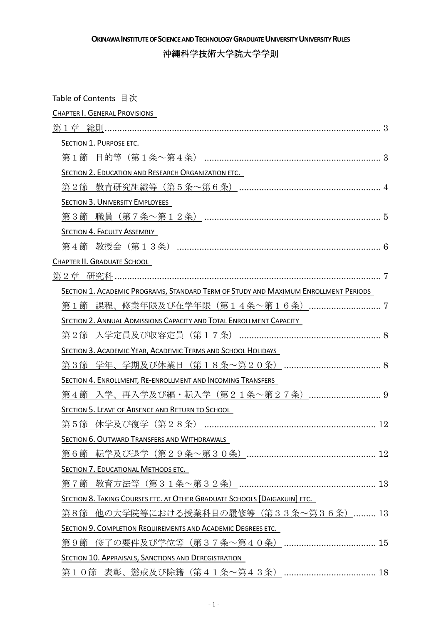OKINAWA INSTITUTE OF SCIENCE AND TECHNOLOGY GRADUATE UNIVERSITY UNIVERSITY RULES

沖縄科学技術大学院大学学則

| Table of Contents 目次                                                                |
|-------------------------------------------------------------------------------------|
| CHAPTER I. GENERAL PROVISIONS                                                       |
|                                                                                     |
| SECTION 1. PURPOSE ETC.                                                             |
|                                                                                     |
| <b>SECTION 2. EDUCATION AND RESEARCH ORGANIZATION ETC.</b>                          |
|                                                                                     |
| <b>SECTION 3. UNIVERSITY EMPLOYEES</b>                                              |
|                                                                                     |
| SECTION 4. FACULTY ASSEMBLY                                                         |
|                                                                                     |
| CHAPTER II. GRADUATE SCHOOL                                                         |
|                                                                                     |
| SECTION 1. ACADEMIC PROGRAMS, STANDARD TERM OF STUDY AND MAXIMUM ENROLLMENT PERIODS |
| 第1節 課程、修業年限及び在学年限(第14条~第16条) 7                                                      |
| SECTION 2. ANNUAL ADMISSIONS CAPACITY AND TOTAL ENROLLMENT CAPACITY                 |
|                                                                                     |
| SECTION 3. ACADEMIC YEAR, ACADEMIC TERMS AND SCHOOL HOLIDAYS                        |
|                                                                                     |
| SECTION 4. ENROLLMENT, RE-ENROLLMENT AND INCOMING TRANSFERS                         |
| 第4節 入学、再入学及び編・転入学(第21条~第27条)  9                                                     |
| <b>SECTION 5. LEAVE OF ABSENCE AND RETURN TO SCHOOL</b>                             |
|                                                                                     |
| SECTION 6. OUTWARD TRANSFERS AND WITHDRAWALS                                        |
|                                                                                     |
| SECTION 7. EDUCATIONAL METHODS ETC.                                                 |
|                                                                                     |
| <b>SECTION 8. TAKING COURSES ETC. AT OTHER GRADUATE SCHOOLS [DAIGAKUIN] ETC.</b>    |
| 第8節 他の大学院等における授業科目の履修等(第33条~第36条) 13                                                |
| SECTION 9. COMPLETION REQUIREMENTS AND ACADEMIC DEGREES ETC.                        |
|                                                                                     |
| <b>SECTION 10. APPRAISALS, SANCTIONS AND DEREGISTRATION</b>                         |
|                                                                                     |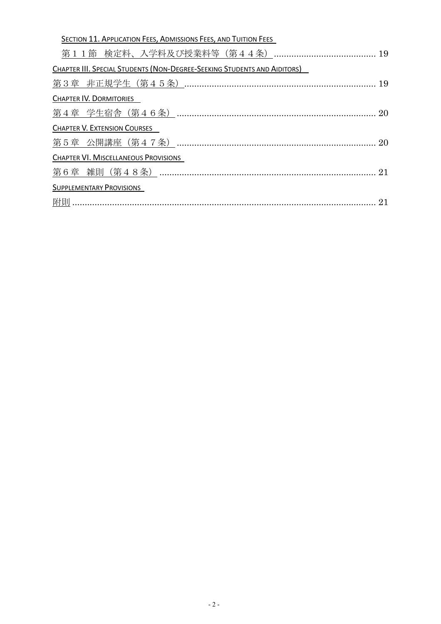| SECTION 11. APPLICATION FEES, ADMISSIONS FEES, AND TUITION FEES          |  |
|--------------------------------------------------------------------------|--|
| 第11節 検定料、入学料及び授業料等(第44条)……………………………………19                                 |  |
| CHAPTER III. SPECIAL STUDENTS (NON-DEGREE-SEEKING STUDENTS AND AIDITORS) |  |
|                                                                          |  |
| CHAPTER IV. DORMITORIES                                                  |  |
|                                                                          |  |
| <b>CHAPTER V. EXTENSION COURSES</b>                                      |  |
|                                                                          |  |
| <b>CHAPTER VI. MISCELLANEOUS PROVISIONS</b>                              |  |
|                                                                          |  |
| <b>SUPPLEMENTARY PROVISIONS</b>                                          |  |
|                                                                          |  |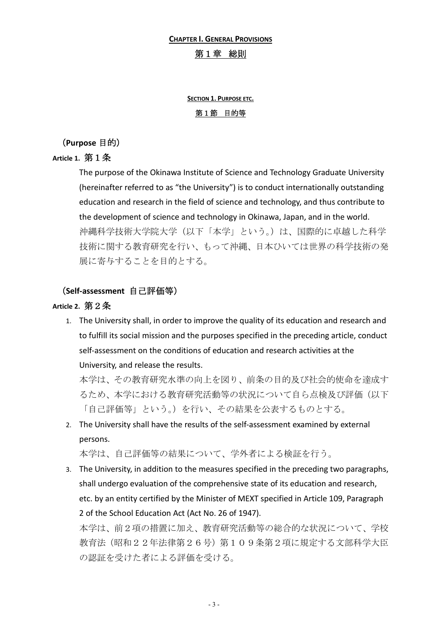#### **CHAPTER I. GENERAL PROVISIONS**

#### 第1章 総則

# **SECTION 1. PURPOSE ETC.** 第1節 目的等

(Purpose 目的)

#### Article 1. 第1条

The purpose of the Okinawa Institute of Science and Technology Graduate University (hereinafter referred to as "the University") is to conduct internationally outstanding education and research in the field of science and technology, and thus contribute to the development of science and technology in Okinawa, Japan, and in the world. 沖縄科学技術大学院大学(以下「本学」という。)は、国際的に卓越した科学 技術に関する教育研究を行い、もって沖縄、日本ひいては世界の科学技術の発 展に寄与することを目的とする。

#### (Self-assessment 自己評価等)

#### Article 2. 第2条

1. The University shall, in order to improve the quality of its education and research and to fulfill its social mission and the purposes specified in the preceding article, conduct self-assessment on the conditions of education and research activities at the University, and release the results.

本学は、その教育研究水準の向上を図り、前条の目的及び社会的使命を達成す るため、本学における教育研究活動等の状況について自ら点検及び評価(以下 「自己評価等」という。)を行い、その結果を公表するものとする。

2. The University shall have the results of the self-assessment examined by external persons.

本学は、自己評価等の結果について、学外者による検証を行う。

3. The University, in addition to the measures specified in the preceding two paragraphs, shall undergo evaluation of the comprehensive state of its education and research, etc. by an entity certified by the Minister of MEXT specified in Article 109, Paragraph 2 of the School Education Act (Act No. 26 of 1947).

本学は、前2項の措置に加え、教育研究活動等の総合的な状況について、学校 教育法(昭和22年法律第26号)第109条第2項に規定する文部科学大臣 の認証を受けた者による評価を受ける。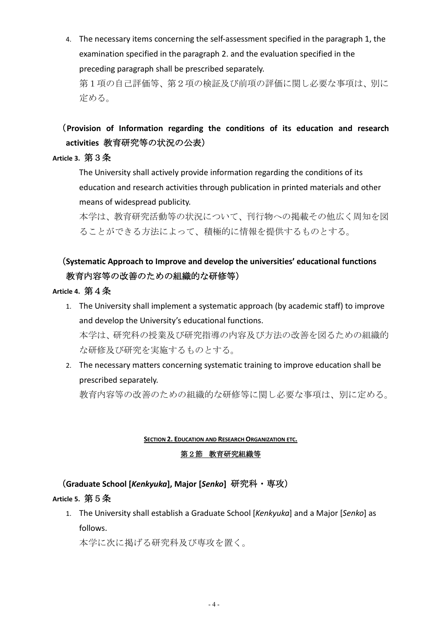4. The necessary items concerning the self-assessment specified in the paragraph 1, the examination specified in the paragraph 2, and the evaluation specified in the preceding paragraph shall be prescribed separately.

第1項の自己評価等、第2項の検証及び前項の評価に関し必要な事項は、別に 定める。

# (Provision of Information regarding the conditions of its education and research activities 教育研究等の状況の公表)

### Article 3. 第3条

The University shall actively provide information regarding the conditions of its education and research activities through publication in printed materials and other means of widespread publicity.

本学は、教育研究活動等の状況について、刊行物への掲載その他広く周知を図 ることができる方法によって、積極的に情報を提供するものとする。

# (Systematic Approach to Improve and develop the universities' educational functions 教育内容等の改善のための組織的な研修等)

# Article 4. 第4条

- 1. The University shall implement a systematic approach (by academic staff) to improve and develop the University's educational functions. 本学は、研究科の授業及び研究指導の内容及び方法の改善を図るための組織的 な研修及び研究を実施するものとする。
- 2. The necessary matters concerning systematic training to improve education shall be prescribed separately.

教育内容等の改善のための組織的な研修等に関し必要な事項は、別に定める。

#### **SECTION 2. EDUCATION AND RESEARCH ORGANIZATION ETC.**

# 第2節 教育研究組織等

(Graduate School [Kenkyuka], Major [Senko] 研究科 · 専攻)

# Article 5. 第5条

1. The University shall establish a Graduate School [Kenkyuka] and a Major [Senko] as follows.

本学に次に掲げる研究科及び専攻を置く。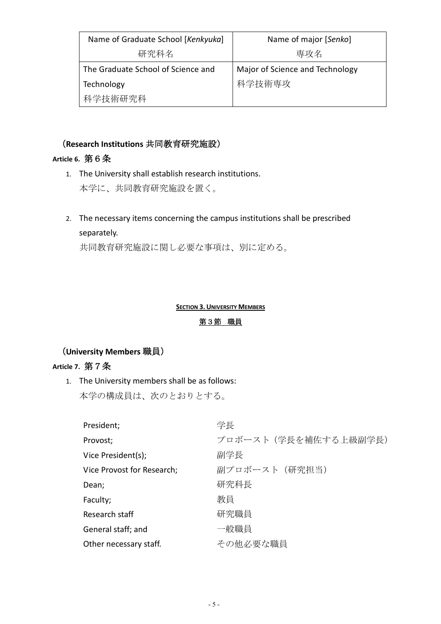| Name of Graduate School [Kenkyuka] | Name of major [Senko]           |
|------------------------------------|---------------------------------|
| 研究科名                               | 専攻名                             |
| The Graduate School of Science and | Major of Science and Technology |
| Technology                         | 科学技術専攻                          |
| 科学技術研究科                            |                                 |

# (Research Institutions 共同教育研究施設)

### Article 6. 第6条

- 1. The University shall establish research institutions. 本学に、共同教育研究施設を置く。
- 2. The necessary items concerning the campus institutions shall be prescribed separately.

共同教育研究施設に関し必要な事項は、別に定める。

#### **SECTION 3. UNIVERSITY MEMBERS**

#### 第3節 職員

# (University Members 職員)

# Article 7. 第7条

1. The University members shall be as follows: 本学の構成員は、次のとおりとする。

| President;                 | 学長                    |
|----------------------------|-----------------------|
| Provost;                   | プロボースト (学長を補佐する上級副学長) |
| Vice President(s);         | 副学長                   |
| Vice Provost for Research; | 副プロボースト (研究担当)        |
| Dean;                      | 研究科長                  |
| Faculty;                   | 教員                    |
| Research staff             | 研究職員                  |
| General staff; and         | 一般職員                  |
| Other necessary staff.     | その他必要な職員              |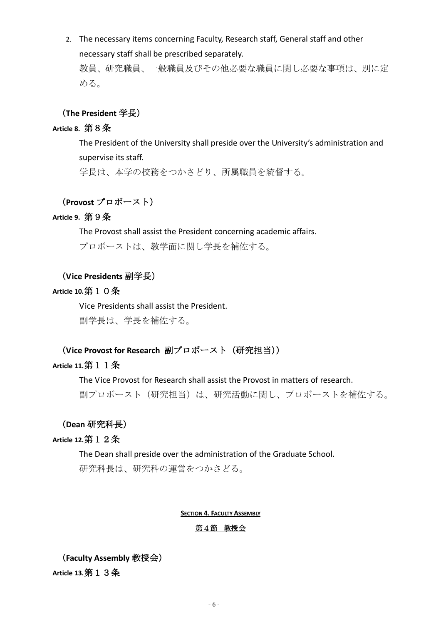2. The necessary items concerning Faculty, Research staff, General staff and other necessary staff shall be prescribed separately.

教員、研究職員、一般職員及びその他必要な職員に関し必要な事項は、別に定 める。

### (The President 学長)

### Article 8. 第8条

The President of the University shall preside over the University's administration and supervise its staff. 学長は、本学の校務をつかさどり、所属職員を統督する。

# (Provost プロボースト)

#### Article 9. 第9条

The Provost shall assist the President concerning academic affairs.

プロボーストは、教学面に関し学長を補佐する。

### (Vice Presidents 副学長)

### Article 10. 第10条

Vice Presidents shall assist the President.

副学長は、学長を補佐する。

(Vice Provost for Research 副プロボースト (研究担当))

#### Article 11. 第11条

The Vice Provost for Research shall assist the Provost in matters of research.

副プロボースト(研究担当)は、研究活動に関し、プロボーストを補佐する。

#### (Dean 研究科長)

#### Article 12. 第12条

The Dean shall preside over the administration of the Graduate School.

研究科長は、研究科の運営をつかさどる。

#### **SECTION 4. FACULTY ASSEMBLY**

#### 第4節 教授会

(Faculty Assembly 教授会) Article 13. 第13条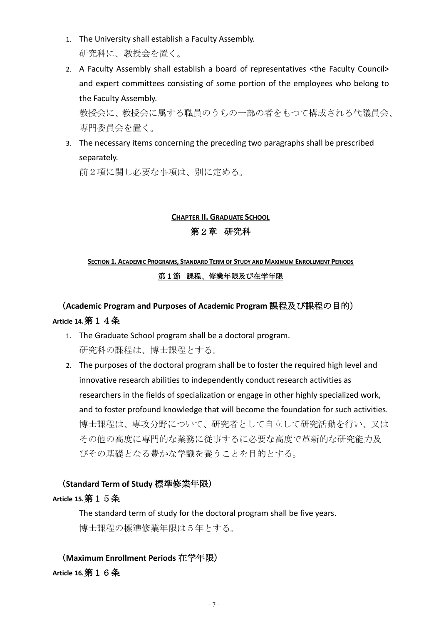- 1. The University shall establish a Faculty Assembly. 研究科に、教授会を置く。
- 2. A Faculty Assembly shall establish a board of representatives <the Faculty Council> and expert committees consisting of some portion of the employees who belong to the Faculty Assembly.

教授会に、教授会に属する職員のうちの一部の者をもつて構成される代議員会、 専門委員会を置く。

3. The necessary items concerning the preceding two paragraphs shall be prescribed separately.

前2項に関し必要な事項は、別に定める。

# **CHAPTER II. GRADUATE SCHOOL**

# 第2章 研究科

# **SECTION 1. ACADEMIC PROGRAMS, STANDARD TERM OF STUDY AND MAXIMUM ENROLLMENT PERIODS** 第1節 課程、修業年限及び在学年限

# (Academic Program and Purposes of Academic Program 課程及び課程の目的) Article 14. 第1 4 条

- 1. The Graduate School program shall be a doctoral program. 研究科の課程は、博士課程とする。
- 2. The purposes of the doctoral program shall be to foster the required high level and innovative research abilities to independently conduct research activities as researchers in the fields of specialization or engage in other highly specialized work, and to foster profound knowledge that will become the foundation for such activities. 博士課程は、専攻分野について、研究者として自立して研究活動を行い、又は その他の高度に専門的な業務に従事するに必要な高度で革新的な研究能力及 びその基礎となる豊かな学識を養うことを目的とする。

# (Standard Term of Study 標準修業年限)

# Article 15. 第15条

The standard term of study for the doctoral program shall be five years. 博士課程の標準修業年限は5年とする。

(Maximum Enrollment Periods 在学年限) Article 16. 第16条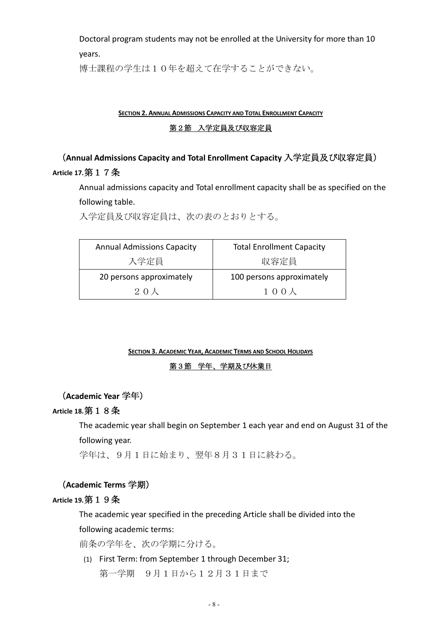Doctoral program students may not be enrolled at the University for more than 10 vears.

博士課程の学生は10年を超えて在学することができない。

#### **SECTION 2. ANNUAL ADMISSIONS CAPACITY AND TOTAL ENROLLMENT CAPACITY**

#### 第2節 入学定員及び収容定員

# (Annual Admissions Capacity and Total Enrollment Capacity 入学定員及び収容定員) Article 17. 第17条

Annual admissions capacity and Total enrollment capacity shall be as specified on the following table.

入学定員及び収容定員は、次の表のとおりとする。

| <b>Annual Admissions Capacity</b> | <b>Total Enrollment Capacity</b> |
|-----------------------------------|----------------------------------|
| 入学定員                              | 収容定員                             |
| 20 persons approximately          | 100 persons approximately        |
| 20 <sup>K</sup>                   | 100人                             |

#### **SECTION 3. ACADEMIC YEAR, ACADEMIC TERMS AND SCHOOL HOLIDAYS**

#### 第3節 学年、学期及び休業日

# (Academic Year 学年)

### Article 18. 第 1 8 条

The academic year shall begin on September 1 each year and end on August 31 of the following year.

学年は、9月1日に始まり、翌年8月31日に終わる。

#### (Academic Terms 学期)

#### Article 19. 第19条

The academic year specified in the preceding Article shall be divided into the following academic terms:

前条の学年を、次の学期に分ける。

(1) First Term: from September 1 through December 31; 第一学期 9月1日から12月31日まで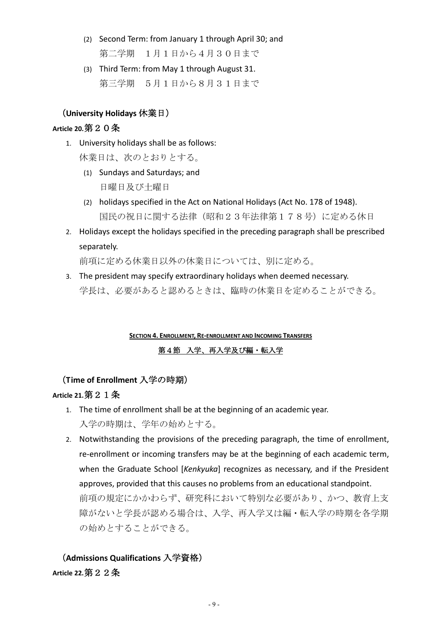- (2) Second Term: from January 1 through April 30; and 第二学期 1月1日から4月30日まで
- (3) Third Term: from May 1 through August 31. 第三学期 5月1日から8月31日まで

#### (University Holidays 休業日)

#### Article 20. 第 2 0 条

1. University holidays shall be as follows:

休業日は、次のとおりとする。

- (1) Sundays and Saturdays; and 日曜日及び十曜日
- (2) holidays specified in the Act on National Holidays (Act No. 178 of 1948). 国民の祝日に関する法律(昭和23年法律第178号)に定める休日
- 2. Holidays except the holidays specified in the preceding paragraph shall be prescribed separately.

前項に定める休業日以外の休業日については、別に定める。

3. The president may specify extraordinary holidays when deemed necessary. 学長は、必要があると認めるときは、臨時の休業日を定めることができる。

# **SECTION 4. ENROLLMENT, RE-ENROLLMENT AND INCOMING TRANSFERS** 第4節 入学、再入学及び編・転入学

#### (Time of Enrollment 入学の時期)

#### Article 21. 第  $2\ 1$  条

- 1. The time of enrollment shall be at the beginning of an academic year. 入学の時期は、学年の始めとする。
- 2. Notwithstanding the provisions of the preceding paragraph, the time of enrollment, re-enrollment or incoming transfers may be at the beginning of each academic term, when the Graduate School [Kenkyuka] recognizes as necessary, and if the President approves, provided that this causes no problems from an educational standpoint. 前項の規定にかかわらず、研究科において特別な必要があり、かつ、教育上支 障がないと学長が認める場合は、入学、再入学又は編·転入学の時期を各学期 の始めとすることができる。

# (Admissions Qualifications 入学資格)

Article 22. 第 2 2 条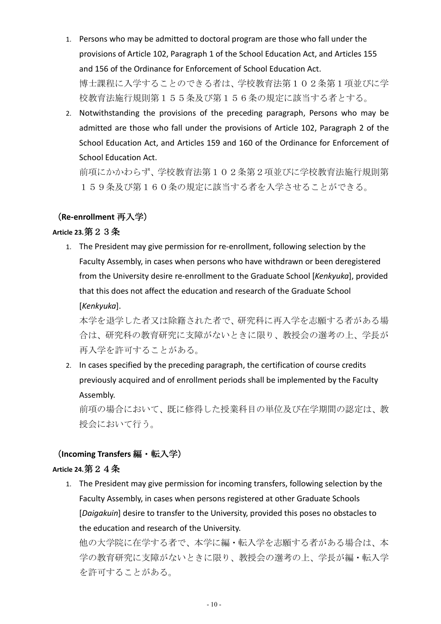- 1. Persons who may be admitted to doctoral program are those who fall under the provisions of Article 102, Paragraph 1 of the School Education Act, and Articles 155 and 156 of the Ordinance for Enforcement of School Education Act. 博士課程に入学することのできる者は、学校教育法第102条第1項並びに学 校教育法施行規則第155条及び第156条の規定に該当する者とする。
- 2. Notwithstanding the provisions of the preceding paragraph, Persons who may be admitted are those who fall under the provisions of Article 102, Paragraph 2 of the School Education Act, and Articles 159 and 160 of the Ordinance for Enforcement of **School Education Act.**

前項にかかわらず、学校教育法第102条第2項並びに学校教育法施行規則第 159条及び第160条の規定に該当する者を入学させることができる。

### (Re-enrollment 再入学)

#### Article 23. 第 2 3 条

1. The President may give permission for re-enrollment, following selection by the Faculty Assembly, in cases when persons who have withdrawn or been deregistered from the University desire re-enrollment to the Graduate School [Kenkyuka], provided that this does not affect the education and research of the Graduate School [Kenkyuka].

本学を退学した者又は除籍された者で、研究科に再入学を志願する者がある場 合は、研究科の教育研究に支障がないときに限り、教授会の選考の上、学長が 再入学を許可することがある。

2. In cases specified by the preceding paragraph, the certification of course credits previously acquired and of enrollment periods shall be implemented by the Faculty Assembly.

前項の場合において、既に修得した授業科目の単位及び在学期間の認定は、教 授会において行う。

#### (Incoming Transfers 編・転入学)

#### Article 24. 第 2 4 条

1. The President may give permission for incoming transfers, following selection by the Faculty Assembly, in cases when persons registered at other Graduate Schools [Daigakuin] desire to transfer to the University, provided this poses no obstacles to the education and research of the University.

他の大学院に在学する者で、本学に編・転入学を志願する者がある場合は、本 学の教育研究に支障がないときに限り、教授会の選考の上、学長が編・転入学 を許可することがある。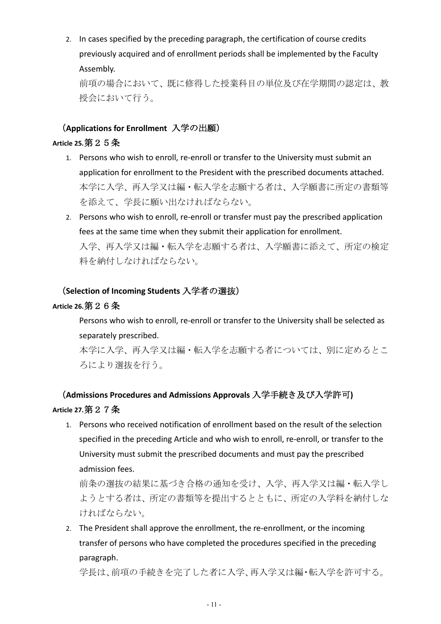2. In cases specified by the preceding paragraph, the certification of course credits previously acquired and of enrollment periods shall be implemented by the Faculty Assembly.

前項の場合において、既に修得した授業科目の単位及び在学期間の認定は、教 授会において行う。

# (Applications for Enrollment 入学の出願)

#### Article 25. 第 2 5 条

- 1. Persons who wish to enroll, re-enroll or transfer to the University must submit an application for enrollment to the President with the prescribed documents attached. 本学に入学、再入学又は編・転入学を志願する者は、入学願書に所定の書類等 を添えて、学長に願い出なければならない。
- 2. Persons who wish to enroll, re-enroll or transfer must pay the prescribed application fees at the same time when they submit their application for enrollment. 入学、再入学又は編·転入学を志願する者は、入学願書に添えて、所定の検定 料を納付しなければならない。

#### (Selection of Incoming Students 入学者の選抜)

#### Article 26. 第 2 6 条

Persons who wish to enroll, re-enroll or transfer to the University shall be selected as separately prescribed.

本学に入学、再入学又は編・転入学を志願する者については、別に定めるとこ ろにより選抜を行う。

# (Admissions Procedures and Admissions Approvals 入学手続き及び入学許可) Article 27. 第 2 7 条

1. Persons who received notification of enrollment based on the result of the selection specified in the preceding Article and who wish to enroll, re-enroll, or transfer to the University must submit the prescribed documents and must pay the prescribed admission fees.

前条の選抜の結果に基づき合格の通知を受け、入学、再入学又は編・転入学し ようとする者は、所定の書類等を提出するとともに、所定の入学料を納付しな ければならない。

2. The President shall approve the enrollment, the re-enrollment, or the incoming transfer of persons who have completed the procedures specified in the preceding paragraph.

学長は、前項の手続きを完了した者に入学、再入学又は編・転入学を許可する。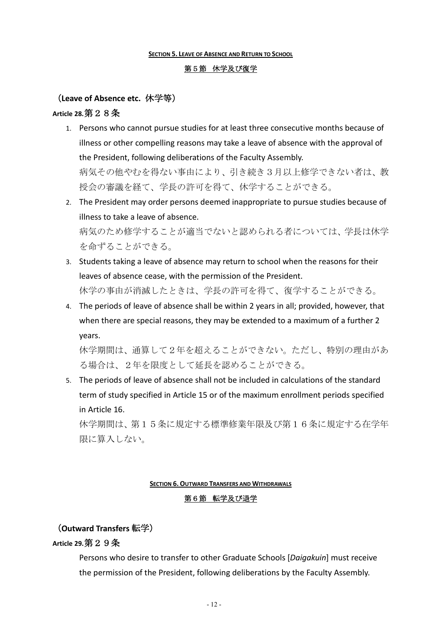#### **SECTION 5. LEAVE OF ABSENCE AND RETURN TO SCHOOL**

#### 第5節 休学及び復学

#### (Leave of Absence etc. 休学等)

#### Article 28. 第 2 8 条

- 1. Persons who cannot pursue studies for at least three consecutive months because of illness or other compelling reasons may take a leave of absence with the approval of the President, following deliberations of the Faculty Assembly. 病気その他やむを得ない事由により、引き続き3月以上修学できない者は、教 授会の審議を経て、学長の許可を得て、休学することができる。
- 2. The President may order persons deemed inappropriate to pursue studies because of illness to take a leave of absence. 病気のため修学することが適当でないと認められる者については、学長は休学 を命ずることができる。
- 3. Students taking a leave of absence may return to school when the reasons for their leaves of absence cease, with the permission of the President. 休学の事由が消滅したときは、学長の許可を得て、復学することができる。
- 4. The periods of leave of absence shall be within 2 years in all; provided, however, that when there are special reasons, they may be extended to a maximum of a further 2 years.

休学期間は、通算して2年を超えることができない。ただし、特別の理由があ る場合は、2年を限度として延長を認めることができる。

5. The periods of leave of absence shall not be included in calculations of the standard term of study specified in Article 15 or of the maximum enrollment periods specified in Article 16.

休学期間は、第15条に規定する標準修業年限及び第16条に規定する在学年 限に算入しない。

#### **SECTION 6. OUTWARD TRANSFERS AND WITHDRAWALS**

#### 第6節 転学及び退学

#### (Outward Transfers 転学)

#### Article 29. 第 2 9 条

Persons who desire to transfer to other Graduate Schools [Daigakuin] must receive the permission of the President, following deliberations by the Faculty Assembly.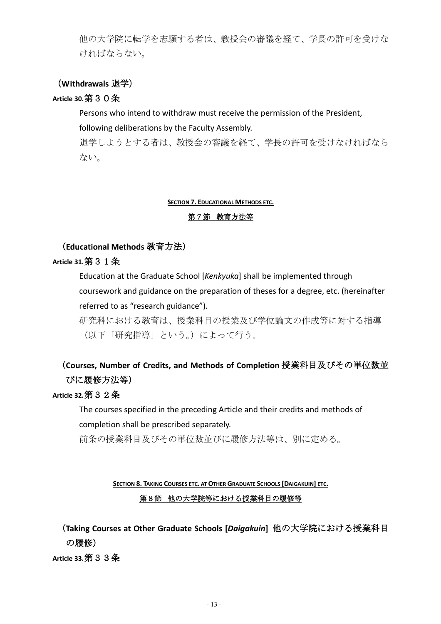他の大学院に転学を志願する者は、教授会の審議を経て、学長の許可を受けな ければならない。

### (Withdrawals 退学)

#### Article 30. 第30条

Persons who intend to withdraw must receive the permission of the President,

following deliberations by the Faculty Assembly.

退学しようとする者は、教授会の審議を経て、学長の許可を受けなければなら ない。

#### **SECTION 7. EDUCATIONAL METHODS ETC.**

#### 第7節 教育方法等

#### (Educational Methods 教育方法)

#### Article 31. 第 3 1 条

Education at the Graduate School [Kenkyuka] shall be implemented through coursework and guidance on the preparation of theses for a degree, etc. (hereinafter referred to as "research guidance").

研究科における教育は、授業科目の授業及び学位論文の作成等に対する指導 (以下「研究指導」という。)によって行う。

# (Courses, Number of Credits, and Methods of Completion 授業科目及びその単位数並 びに履修方法等)

### Article 32. 第 3 2 条

The courses specified in the preceding Article and their credits and methods of completion shall be prescribed separately.

前条の授業科目及びその単位数並びに履修方法等は、別に定める。

SECTION 8. TAKING COURSES ETC. AT OTHER GRADUATE SCHOOLS [DAIGAKUIN] ETC.

#### 第8節 他の大学院等における授業科目の履修等

(Taking Courses at Other Graduate Schools [Daigakuin] 他の大学院における授業科目 の履修)

Article 33. 第 3 3 条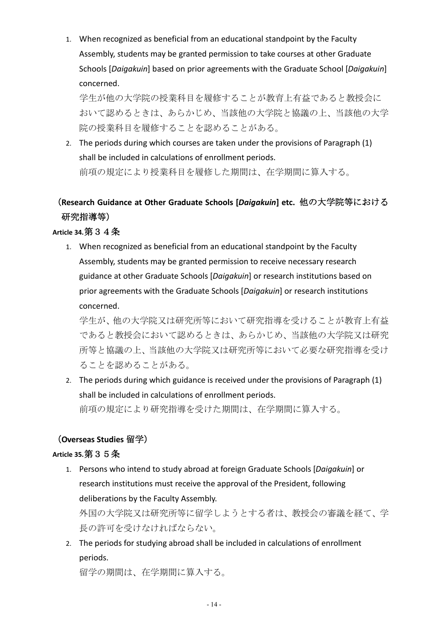1. When recognized as beneficial from an educational standpoint by the Faculty Assembly, students may be granted permission to take courses at other Graduate Schools [Daigakuin] based on prior agreements with the Graduate School [Daigakuin] concerned.

学生が他の大学院の授業科目を履修することが教育上有益であると教授会に おいて認めるときは、あらかじめ、当該他の大学院と協議の上、当該他の大学 院の授業科目を履修することを認めることがある。

2. The periods during which courses are taken under the provisions of Paragraph (1) shall be included in calculations of enrollment periods. 前項の規定により授業科目を履修した期間は、在学期間に算入する。

# (Research Guidance at Other Graduate Schools [Daigakuin] etc. 他の大学院等における 研究指導等)

# Article 34. 第 3 4 条

1. When recognized as beneficial from an educational standpoint by the Faculty Assembly, students may be granted permission to receive necessary research guidance at other Graduate Schools [Daigakuin] or research institutions based on prior agreements with the Graduate Schools [Daigakuin] or research institutions concerned.

学生が、他の大学院又は研究所等において研究指導を受けることが教育上有益 であると教授会において認めるときは、あらかじめ、当該他の大学院又は研究 所等と協議の上、当該他の大学院又は研究所等において必要な研究指導を受け ることを認めることがある。

2. The periods during which guidance is received under the provisions of Paragraph (1) shall be included in calculations of enrollment periods. 前項の規定により研究指導を受けた期間は、在学期間に算入する。

# (Overseas Studies 留学)

# Article 35. 第 3 5 条

1. Persons who intend to study abroad at foreign Graduate Schools [Daigakuin] or research institutions must receive the approval of the President, following deliberations by the Faculty Assembly.

外国の大学院又は研究所等に留学しようとする者は、教授会の審議を経て、学 長の許可を受けなければならない。

2. The periods for studving abroad shall be included in calculations of enrollment periods.

留学の期間は、在学期間に算入する。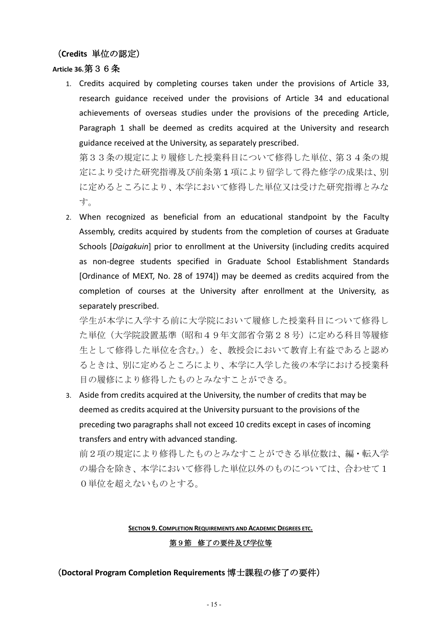#### (Credits 単位の認定)

#### Article 36. 第 3 6 条

1. Credits acquired by completing courses taken under the provisions of Article 33, research guidance received under the provisions of Article 34 and educational achievements of overseas studies under the provisions of the preceding Article, Paragraph 1 shall be deemed as credits acquired at the University and research guidance received at the University, as separately prescribed.

第33条の規定により履修した授業科目について修得した単位、第34条の規 定により受けた研究指導及び前条第1項により留学して得た修学の成果は、別 に定めるところにより、本学において修得した単位又は受けた研究指導とみな す。

2. When recognized as beneficial from an educational standpoint by the Faculty Assembly, credits acquired by students from the completion of courses at Graduate Schools [Daigakuin] prior to enrollment at the University (including credits acquired as non-degree students specified in Graduate School Establishment Standards [Ordinance of MEXT, No. 28 of 1974]) may be deemed as credits acquired from the completion of courses at the University after enrollment at the University, as separately prescribed.

学生が本学に入学する前に大学院において履修した授業科目について修得し た単位(大学院設置基準(昭和49年文部省令第28号)に定める科目等履修 生として修得した単位を含む。)を、教授会において教育上有益であると認め るときは、別に定めるところにより、本学に入学した後の本学における授業科 目の履修により修得したものとみなすことができる。

3. Aside from credits acquired at the University, the number of credits that may be deemed as credits acquired at the University pursuant to the provisions of the preceding two paragraphs shall not exceed 10 credits except in cases of incoming transfers and entry with advanced standing.

前2項の規定により修得したものとみなすことができる単位数は、編·転入学 の場合を除き、本学において修得した単位以外のものについては、合わせて1 0単位を超えないものとする。

#### **SECTION 9. COMPLETION REQUIREMENTS AND ACADEMIC DEGREES ETC.**

#### 第9節 修了の要件及び学位等

#### (Doctoral Program Completion Requirements 博士課程の修了の要件)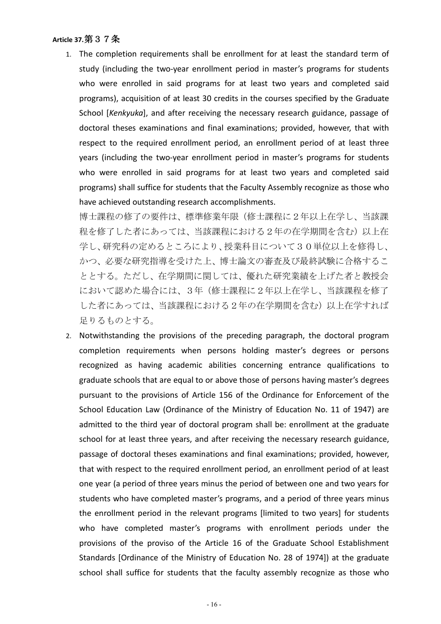#### Article 37. 第 3 7 条

1. The completion requirements shall be enrollment for at least the standard term of study (including the two-year enrollment period in master's programs for students who were enrolled in said programs for at least two years and completed said programs), acquisition of at least 30 credits in the courses specified by the Graduate School [Kenkyuka], and after receiving the necessary research guidance, passage of doctoral theses examinations and final examinations; provided, however, that with respect to the required enrollment period, an enrollment period of at least three years (including the two-year enrollment period in master's programs for students who were enrolled in said programs for at least two years and completed said programs) shall suffice for students that the Faculty Assembly recognize as those who have achieved outstanding research accomplishments.

博士課程の修了の要件は、標準修業年限(修士課程に2年以上在学し、当該課 程を修了した者にあっては、当該課程における2年の在学期間を含む)以上在 学し、研究科の定めるところにより、授業科目について30単位以上を修得し、 かつ、必要な研究指導を受けた上、博士論文の審査及び最終試験に合格するこ ととする。ただし、在学期間に関しては、優れた研究業績を上げた者と教授会 において認めた場合には、3年(修士課程に2年以上在学し、当該課程を修了 した者にあっては、当該課程における2年の在学期間を含む)以上在学すれば 足りるものとする。

2. Notwithstanding the provisions of the preceding paragraph, the doctoral program completion requirements when persons holding master's degrees or persons recognized as having academic abilities concerning entrance qualifications to graduate schools that are equal to or above those of persons having master's degrees pursuant to the provisions of Article 156 of the Ordinance for Enforcement of the School Education Law (Ordinance of the Ministry of Education No. 11 of 1947) are admitted to the third year of doctoral program shall be: enrollment at the graduate school for at least three years, and after receiving the necessary research guidance, passage of doctoral theses examinations and final examinations; provided, however, that with respect to the required enrollment period, an enrollment period of at least one year (a period of three years minus the period of between one and two years for students who have completed master's programs, and a period of three years minus the enrollment period in the relevant programs [limited to two years] for students who have completed master's programs with enrollment periods under the provisions of the proviso of the Article 16 of the Graduate School Establishment Standards [Ordinance of the Ministry of Education No. 28 of 1974]) at the graduate school shall suffice for students that the faculty assembly recognize as those who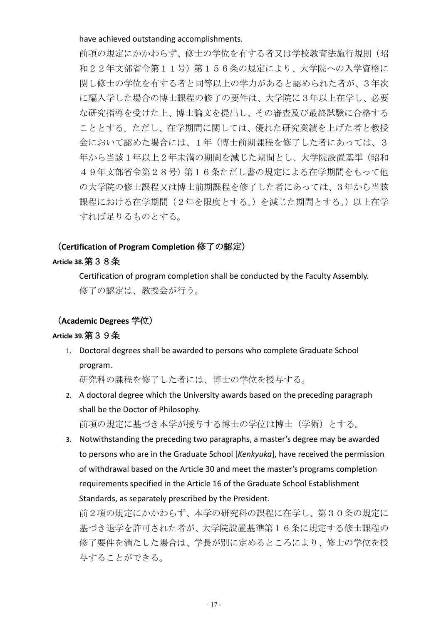have achieved outstanding accomplishments.

前項の規定にかかわらず、修士の学位を有する者又は学校教育法施行規則(昭 和22年文部省令第11号)第156条の規定により、大学院への入学資格に 関し修士の学位を有する者と同等以上の学力があると認められた者が、3年次 に編入学した場合の博士課程の修了の要件は、大学院に3年以上在学し、必要 な研究指導を受けた上、博士論文を提出し、その審査及び最終試験に合格する こととする。ただし、在学期間に関しては、優れた研究業績を上げた者と教授 会において認めた場合には、1年(博士前期課程を修了した者にあっては、3 年から当該1年以上2年未満の期間を減じた期間とし、大学院設置基準(昭和 49年文部省令第28号)第16条ただし書の規定による在学期間をもって他 の大学院の修士課程又は博士前期課程を修了した者にあっては、3年から当該 課程における在学期間(2年を限度とする。)を減じた期間とする。)以上在学 すれば足りるものとする。

#### (Certification of Program Completion 修了の認定)

#### Article 38. 第 3 8 条

Certification of program completion shall be conducted by the Faculty Assembly. 修了の認定は、教授会が行う。

#### (Academic Degrees 学位)

#### Article 39. 第 3 9 条

1. Doctoral degrees shall be awarded to persons who complete Graduate School program.

研究科の課程を修了した者には、博士の学位を授与する。

- 2. A doctoral degree which the University awards based on the preceding paragraph shall be the Doctor of Philosophy. 前項の規定に基づき本学が授与する博士の学位は博士(学術)とする。
- 3. Notwithstanding the preceding two paragraphs, a master's degree may be awarded to persons who are in the Graduate School [Kenkyuka], have received the permission of withdrawal based on the Article 30 and meet the master's programs completion requirements specified in the Article 16 of the Graduate School Establishment Standards, as separately prescribed by the President.

前2項の規定にかかわらず、本学の研究科の課程に在学し、第30条の規定に 基づき退学を許可された者が、大学院設置基準第16条に規定する修士課程の 修了要件を満たした場合は、学長が別に定めるところにより、修士の学位を授 与することができる。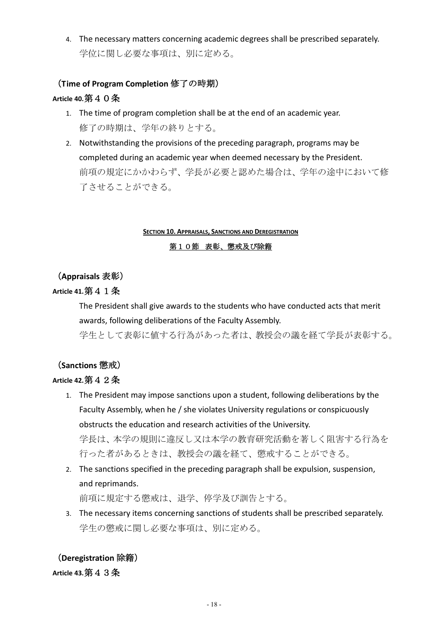4. The necessary matters concerning academic degrees shall be prescribed separately. 学位に関し必要な事項は、別に定める。

# (Time of Program Completion 修了の時期) Article 40. 第40条

- 1. The time of program completion shall be at the end of an academic year. 修了の時期は、学年の終りとする。
- 2. Notwithstanding the provisions of the preceding paragraph, programs may be completed during an academic year when deemed necessary by the President. 前項の規定にかかわらず、学長が必要と認めた場合は、学年の途中において修 了させることができる。

#### **SECTION 10. APPRAISALS, SANCTIONS AND DEREGISTRATION**

#### 第10節 表彰、懲戒及び除籍

# (Appraisals 表彰)

# Article 41. 第 4 1 条

The President shall give awards to the students who have conducted acts that merit awards, following deliberations of the Faculty Assembly.

学生として表彰に値する行為があった者は、教授会の議を経て学長が表彰する。

# (Sanctions 懲戒)

# Article 42. 第4 $2$   $4$

- 1. The President may impose sanctions upon a student, following deliberations by the Faculty Assembly, when he / she violates University regulations or conspicuously obstructs the education and research activities of the University. 学長は、本学の規則に違反し又は本学の教育研究活動を著しく阻害する行為を 行った者があるときは、教授会の議を経て、懲戒することができる。
- 2. The sanctions specified in the preceding paragraph shall be expulsion, suspension, and reprimands.

前項に規定する懲戒は、退学、停学及び訓告とする。

3. The necessary items concerning sanctions of students shall be prescribed separately. 学生の懲戒に関し必要な事項は、別に定める。

# (Deregistration 除籍)

### Article 43. 第43条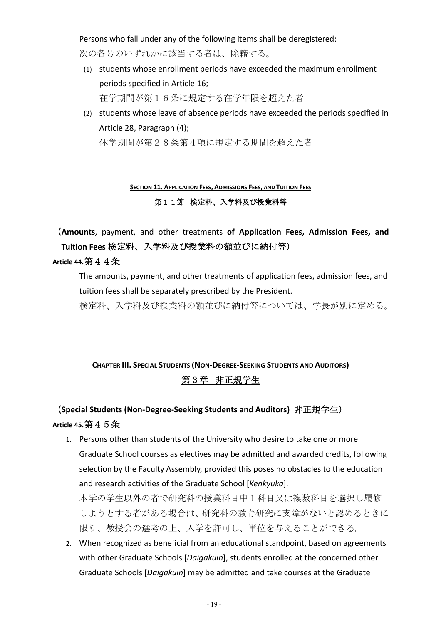Persons who fall under any of the following items shall be deregistered:

次の各号のいずれかに該当する者は、除籍する。

- (1) students whose enrollment periods have exceeded the maximum enrollment periods specified in Article 16; 在学期間が第16条に規定する在学年限を超えた者
- (2) students whose leave of absence periods have exceeded the periods specified in Article 28, Paragraph (4); 休学期間が第28条第4項に規定する期間を超えた者

# SECTION 11. APPLICATION FEES, ADMISSIONS FEES, AND TUITION FEES 第11節 検定料、入学料及び授業料等

(Amounts, payment, and other treatments of Application Fees, Admission Fees, and Tuition Fees 検定料、入学料及び授業料の額並びに納付等)

# Article 44. 第 4 4 条

The amounts, payment, and other treatments of application fees, admission fees, and tuition fees shall be separately prescribed by the President.

検定料、入学料及び授業料の額並びに納付等については、学長が別に定める。

# **CHAPTER III. SPECIAL STUDENTS (NON-DEGREE-SEEKING STUDENTS AND AUDITORS)** 第3章 非正規学生

# (Special Students (Non-Degree-Seeking Students and Auditors) 非正規学生) Article 45. 第4 $5$   $4$

- 1. Persons other than students of the University who desire to take one or more Graduate School courses as electives may be admitted and awarded credits, following selection by the Faculty Assembly, provided this poses no obstacles to the education and research activities of the Graduate School [Kenkyuka]. 本学の学生以外の者で研究科の授業科目中1科目又は複数科目を選択し履修 しようとする者がある場合は、研究科の教育研究に支障がないと認めるときに 限り、教授会の選考の上、入学を許可し、単位を与えることができる。
- 2. When recognized as beneficial from an educational standpoint, based on agreements with other Graduate Schools [Daigakuin], students enrolled at the concerned other Graduate Schools [Daigakuin] may be admitted and take courses at the Graduate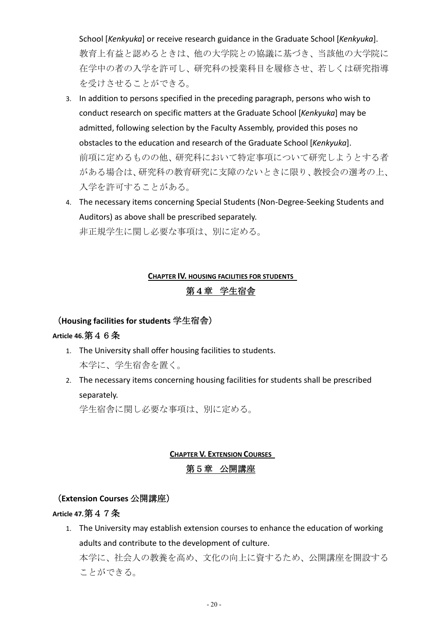School [Kenkyuka] or receive research guidance in the Graduate School [Kenkyuka]. 教育上有益と認めるときは、他の大学院との協議に基づき、当該他の大学院に 在学中の者の入学を許可し、研究科の授業科目を履修させ、若しくは研究指導 を受けさせることができる。

- 3. In addition to persons specified in the preceding paragraph, persons who wish to conduct research on specific matters at the Graduate School [Kenkyuka] may be admitted, following selection by the Faculty Assembly, provided this poses no obstacles to the education and research of the Graduate School [Kenkyuka]. 前項に定めるものの他、研究科において特定事項について研究しようとする者 がある場合は、研究科の教育研究に支障のないときに限り、教授会の選考の上、 入学を許可することがある。
- 4. The necessary items concerning Special Students (Non-Degree-Seeking Students and Auditors) as above shall be prescribed separately. 非正規学生に関し必要な事項は、別に定める。

# **CHAPTER IV. HOUSING FACILITIES FOR STUDENTS**

### 第4章 学生宿舎

#### (Housing facilities for students 学生宿舎)

#### Article 46. 第46条

- 1. The University shall offer housing facilities to students. 本学に、学生宿舎を置く。
- 2. The necessary items concerning housing facilities for students shall be prescribed separately.

学生宿舎に関し必要な事項は、別に定める。

# **CHAPTER V. EXTENSION COURSES** 第5章 公開講座

#### (Extension Courses 公開講座)

#### Article 47. 第47条

1. The University may establish extension courses to enhance the education of working adults and contribute to the development of culture.

本学に、社会人の教養を高め、文化の向上に資するため、公開講座を開設する ことができる。